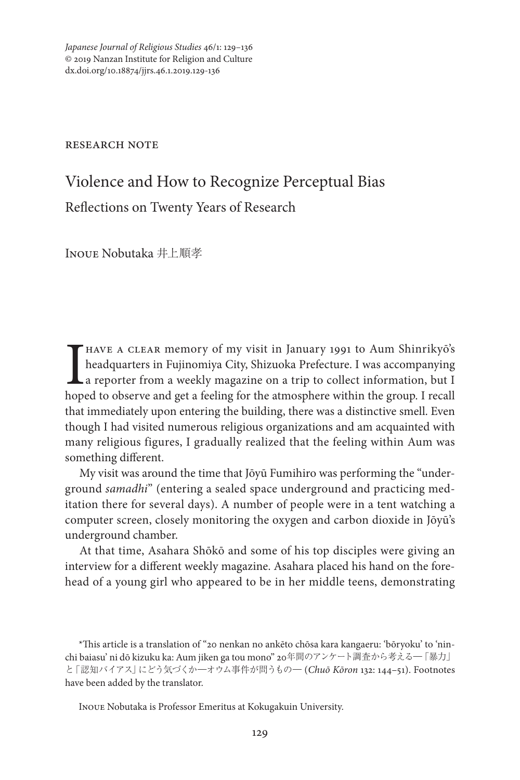*Japanese Journal of Religious Studies* 46/1: 129–136 © 2019 Nanzan Institute for Religion and Culture dx.doi.org/10.18874/jjrs.46.1.2019.129-136

research note

# Violence and How to Recognize Perceptual Bias Reflections on Twenty Years of Research

Inoue Nobutaka 井上順孝

I<sub>hop</sub> HAVE A CLEAR memory of my visit in January 1991 to Aum Shinrikyō's headquarters in Fujinomiya City, Shizuoka Prefecture. I was accompanying a reporter from a weekly magazine on a trip to collect information, but I hoped to observe and get a feeling for the atmosphere within the group. I recall that immediately upon entering the building, there was a distinctive smell. Even though I had visited numerous religious organizations and am acquainted with many religious figures, I gradually realized that the feeling within Aum was something different.

My visit was around the time that Jōyū Fumihiro was performing the "underground *samadhi*" (entering a sealed space underground and practicing meditation there for several days). A number of people were in a tent watching a computer screen, closely monitoring the oxygen and carbon dioxide in Jōyū's underground chamber.

At that time, Asahara Shōkō and some of his top disciples were giving an interview for a different weekly magazine. Asahara placed his hand on the forehead of a young girl who appeared to be in her middle teens, demonstrating

\*This article is a translation of "20 nenkan no ankēto chōsa kara kangaeru: 'bōryoku' to 'ninchi baiasu' ni dō kizuku ka: Aum jiken ga tou mono" 20年間のアンケート調査から考える―「暴力」 と「認知バイアス」にどう気づくか―オウム事件が問うもの― (*Chuō Kōron* 132: 144–51). Footnotes have been added by the translator.

Inoue Nobutaka is Professor Emeritus at Kokugakuin University.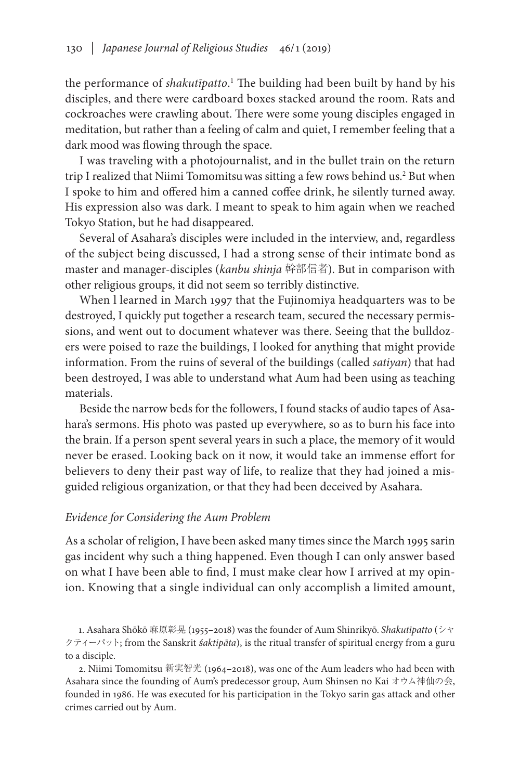the performance of *shakutīpatto*. <sup>1</sup> The building had been built by hand by his disciples, and there were cardboard boxes stacked around the room. Rats and cockroaches were crawling about. There were some young disciples engaged in meditation, but rather than a feeling of calm and quiet, I remember feeling that a dark mood was flowing through the space.

I was traveling with a photojournalist, and in the bullet train on the return trip I realized that Niimi Tomomitsuwas sitting a few rows behind us.2 But when I spoke to him and offered him a canned coffee drink, he silently turned away. His expression also was dark. I meant to speak to him again when we reached Tokyo Station, but he had disappeared.

Several of Asahara's disciples were included in the interview, and, regardless of the subject being discussed, I had a strong sense of their intimate bond as master and manager-disciples (*kanbu shinja* 幹部信者). But in comparison with other religious groups, it did not seem so terribly distinctive.

When l learned in March 1997 that the Fujinomiya headquarters was to be destroyed, I quickly put together a research team, secured the necessary permissions, and went out to document whatever was there. Seeing that the bulldozers were poised to raze the buildings, I looked for anything that might provide information. From the ruins of several of the buildings (called *satiyan*) that had been destroyed, I was able to understand what Aum had been using as teaching materials.

Beside the narrow beds for the followers, I found stacks of audio tapes of Asahara's sermons. His photo was pasted up everywhere, so as to burn his face into the brain. If a person spent several years in such a place, the memory of it would never be erased. Looking back on it now, it would take an immense effort for believers to deny their past way of life, to realize that they had joined a misguided religious organization, or that they had been deceived by Asahara.

### *Evidence for Considering the Aum Problem*

As a scholar of religion, I have been asked many times since the March 1995 sarin gas incident why such a thing happened. Even though I can only answer based on what I have been able to find, I must make clear how I arrived at my opinion. Knowing that a single individual can only accomplish a limited amount,

1. Asahara Shōkō 麻原彰晃 (1955–2018) was the founder of Aum Shinrikyō. *Shakutīpatto* (シャ クティーパット; from the Sanskrit *Śaktipāta*), is the ritual transfer of spiritual energy from a guru to a disciple.

2. Niimi Tomomitsu 新実智光 (1964–2018), was one of the Aum leaders who had been with Asahara since the founding of Aum's predecessor group, Aum Shinsen no Kai オウム神仙の会, founded in 1986. He was executed for his participation in the Tokyo sarin gas attack and other crimes carried out by Aum.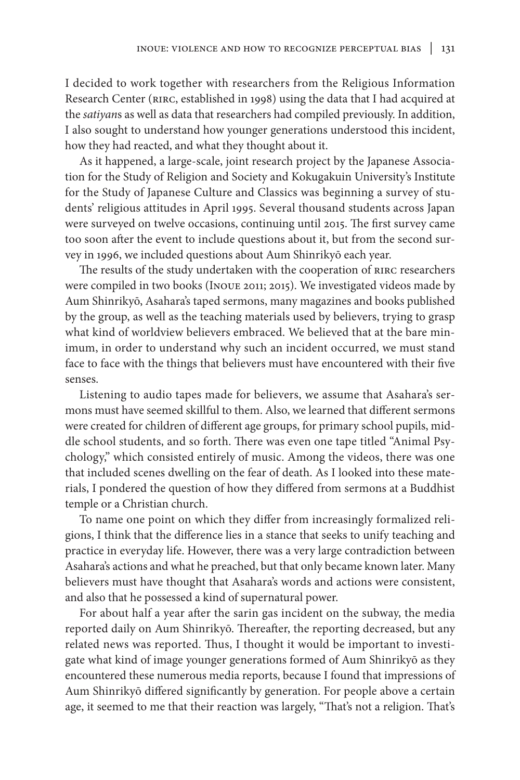I decided to work together with researchers from the Religious Information Research Center (RIRC, established in 1998) using the data that I had acquired at the *satiyan*s as well as data that researchers had compiled previously. In addition, I also sought to understand how younger generations understood this incident, how they had reacted, and what they thought about it.

As it happened, a large-scale, joint research project by the Japanese Association for the Study of Religion and Society and Kokugakuin University's Institute for the Study of Japanese Culture and Classics was beginning a survey of students' religious attitudes in April 1995. Several thousand students across Japan were surveyed on twelve occasions, continuing until 2015. The first survey came too soon after the event to include questions about it, but from the second survey in 1996, we included questions about Aum Shinrikyō each year.

The results of the study undertaken with the cooperation of RIRC researchers were compiled in two books (Inoue 2011; 2015). We investigated videos made by Aum Shinrikyō, Asahara's taped sermons, many magazines and books published by the group, as well as the teaching materials used by believers, trying to grasp what kind of worldview believers embraced. We believed that at the bare minimum, in order to understand why such an incident occurred, we must stand face to face with the things that believers must have encountered with their five senses.

Listening to audio tapes made for believers, we assume that Asahara's sermons must have seemed skillful to them. Also, we learned that different sermons were created for children of different age groups, for primary school pupils, middle school students, and so forth. There was even one tape titled "Animal Psychology," which consisted entirely of music. Among the videos, there was one that included scenes dwelling on the fear of death. As I looked into these materials, I pondered the question of how they differed from sermons at a Buddhist temple or a Christian church.

To name one point on which they differ from increasingly formalized religions, I think that the difference lies in a stance that seeks to unify teaching and practice in everyday life. However, there was a very large contradiction between Asahara's actions and what he preached, but that only became known later. Many believers must have thought that Asahara's words and actions were consistent, and also that he possessed a kind of supernatural power.

For about half a year after the sarin gas incident on the subway, the media reported daily on Aum Shinrikyō. Thereafter, the reporting decreased, but any related news was reported. Thus, I thought it would be important to investigate what kind of image younger generations formed of Aum Shinrikyō as they encountered these numerous media reports, because I found that impressions of Aum Shinrikyō differed significantly by generation. For people above a certain age, it seemed to me that their reaction was largely, "That's not a religion. That's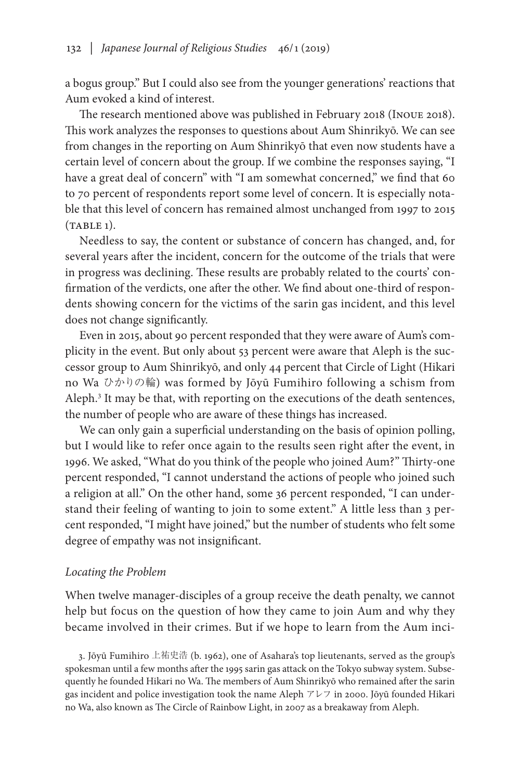a bogus group." But I could also see from the younger generations' reactions that Aum evoked a kind of interest.

The research mentioned above was published in February 2018 (Inoue 2018). This work analyzes the responses to questions about Aum Shinrikyō. We can see from changes in the reporting on Aum Shinrikyō that even now students have a certain level of concern about the group. If we combine the responses saying, "I have a great deal of concern" with "I am somewhat concerned," we find that 60 to 70 percent of respondents report some level of concern. It is especially notable that this level of concern has remained almost unchanged from 1997 to 2015  $(TABLE 1).$ 

Needless to say, the content or substance of concern has changed, and, for several years after the incident, concern for the outcome of the trials that were in progress was declining. These results are probably related to the courts' confirmation of the verdicts, one after the other. We find about one-third of respondents showing concern for the victims of the sarin gas incident, and this level does not change significantly.

Even in 2015, about 90 percent responded that they were aware of Aum's complicity in the event. But only about 53 percent were aware that Aleph is the successor group to Aum Shinrikyō, and only 44 percent that Circle of Light (Hikari no Wa ひかりの輪) was formed by Jōyū Fumihiro following a schism from Aleph.<sup>3</sup> It may be that, with reporting on the executions of the death sentences, the number of people who are aware of these things has increased.

We can only gain a superficial understanding on the basis of opinion polling, but I would like to refer once again to the results seen right after the event, in 1996. We asked, "What do you think of the people who joined Aum?" Thirty-one percent responded, "I cannot understand the actions of people who joined such a religion at all." On the other hand, some 36 percent responded, "I can understand their feeling of wanting to join to some extent." A little less than 3 percent responded, "I might have joined," but the number of students who felt some degree of empathy was not insignificant.

### *Locating the Problem*

When twelve manager-disciples of a group receive the death penalty, we cannot help but focus on the question of how they came to join Aum and why they became involved in their crimes. But if we hope to learn from the Aum inci-

3. Jōyū Fumihiro 上祐史浩 (b. 1962), one of Asahara's top lieutenants, served as the group's spokesman until a few months after the 1995 sarin gas attack on the Tokyo subway system. Subsequently he founded Hikari no Wa. The members of Aum Shinrikyō who remained after the sarin gas incident and police investigation took the name Aleph アレフ in 2000. Jōyū founded Hikari no Wa, also known as The Circle of Rainbow Light, in 2007 as a breakaway from Aleph.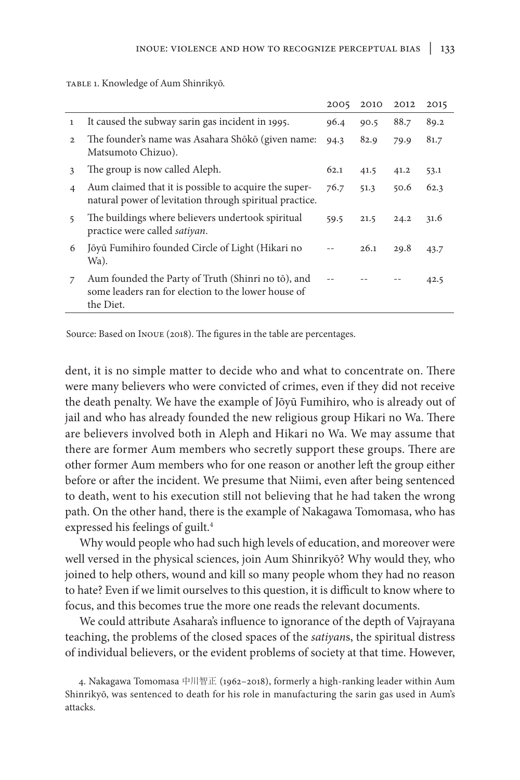|                |                                                                                                                        | 2005 | 2010 | 2012 | 2015 |
|----------------|------------------------------------------------------------------------------------------------------------------------|------|------|------|------|
| $\mathbf{1}$   | It caused the subway sarin gas incident in 1995.                                                                       | 96.4 | 90.5 | 88.7 | 89.2 |
| 2              | The founder's name was Asahara Shōkō (given name:<br>Matsumoto Chizuo).                                                | 94.3 | 82.9 | 79.9 | 81.7 |
| 3              | The group is now called Aleph.                                                                                         | 62.1 | 41.5 | 41.2 | 53.1 |
| $\overline{4}$ | Aum claimed that it is possible to acquire the super-<br>natural power of levitation through spiritual practice.       | 76.7 | 51.3 | 50.6 | 62.3 |
| 5              | The buildings where believers undertook spiritual<br>practice were called satiyan.                                     | 59.5 | 21.5 | 24.2 | 31.6 |
| 6              | Jõyū Fumihiro founded Circle of Light (Hikari no<br>Wa).                                                               |      | 26.1 | 29.8 | 43.7 |
| 7              | Aum founded the Party of Truth (Shinri no tō), and<br>some leaders ran for election to the lower house of<br>the Diet. |      |      |      | 42.5 |

table 1. Knowledge of Aum Shinrikyō.

Source: Based on Inoue (2018). The figures in the table are percentages.

dent, it is no simple matter to decide who and what to concentrate on. There were many believers who were convicted of crimes, even if they did not receive the death penalty. We have the example of Jōyū Fumihiro, who is already out of jail and who has already founded the new religious group Hikari no Wa. There are believers involved both in Aleph and Hikari no Wa. We may assume that there are former Aum members who secretly support these groups. There are other former Aum members who for one reason or another left the group either before or after the incident. We presume that Niimi, even after being sentenced to death, went to his execution still not believing that he had taken the wrong path. On the other hand, there is the example of Nakagawa Tomomasa, who has expressed his feelings of guilt.<sup>4</sup>

Why would people who had such high levels of education, and moreover were well versed in the physical sciences, join Aum Shinrikyō? Why would they, who joined to help others, wound and kill so many people whom they had no reason to hate? Even if we limit ourselves to this question, it is difficult to know where to focus, and this becomes true the more one reads the relevant documents.

We could attribute Asahara's influence to ignorance of the depth of Vajrayana teaching, the problems of the closed spaces of the *satiyan*s, the spiritual distress of individual believers, or the evident problems of society at that time. However,

4. Nakagawa Tomomasa 中川智正 (1962–2018), formerly a high-ranking leader within Aum Shinrikyō, was sentenced to death for his role in manufacturing the sarin gas used in Aum's attacks.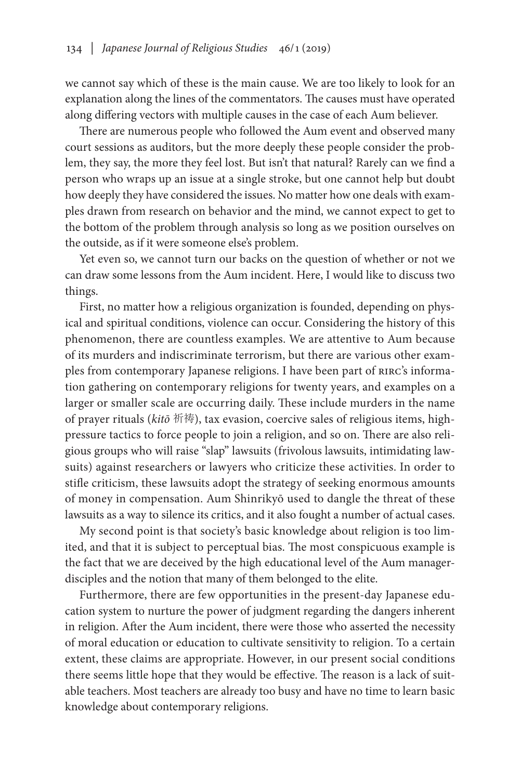we cannot say which of these is the main cause. We are too likely to look for an explanation along the lines of the commentators. The causes must have operated along differing vectors with multiple causes in the case of each Aum believer.

There are numerous people who followed the Aum event and observed many court sessions as auditors, but the more deeply these people consider the problem, they say, the more they feel lost. But isn't that natural? Rarely can we find a person who wraps up an issue at a single stroke, but one cannot help but doubt how deeply they have considered the issues. No matter how one deals with examples drawn from research on behavior and the mind, we cannot expect to get to the bottom of the problem through analysis so long as we position ourselves on the outside, as if it were someone else's problem.

Yet even so, we cannot turn our backs on the question of whether or not we can draw some lessons from the Aum incident. Here, I would like to discuss two things.

First, no matter how a religious organization is founded, depending on physical and spiritual conditions, violence can occur. Considering the history of this phenomenon, there are countless examples. We are attentive to Aum because of its murders and indiscriminate terrorism, but there are various other examples from contemporary Japanese religions. I have been part of RIRC's information gathering on contemporary religions for twenty years, and examples on a larger or smaller scale are occurring daily. These include murders in the name of prayer rituals (*kitō* 祈祷), tax evasion, coercive sales of religious items, highpressure tactics to force people to join a religion, and so on. There are also religious groups who will raise "slap" lawsuits (frivolous lawsuits, intimidating lawsuits) against researchers or lawyers who criticize these activities. In order to stifle criticism, these lawsuits adopt the strategy of seeking enormous amounts of money in compensation. Aum Shinrikyō used to dangle the threat of these lawsuits as a way to silence its critics, and it also fought a number of actual cases.

My second point is that society's basic knowledge about religion is too limited, and that it is subject to perceptual bias. The most conspicuous example is the fact that we are deceived by the high educational level of the Aum managerdisciples and the notion that many of them belonged to the elite.

Furthermore, there are few opportunities in the present-day Japanese education system to nurture the power of judgment regarding the dangers inherent in religion. After the Aum incident, there were those who asserted the necessity of moral education or education to cultivate sensitivity to religion. To a certain extent, these claims are appropriate. However, in our present social conditions there seems little hope that they would be effective. The reason is a lack of suitable teachers. Most teachers are already too busy and have no time to learn basic knowledge about contemporary religions.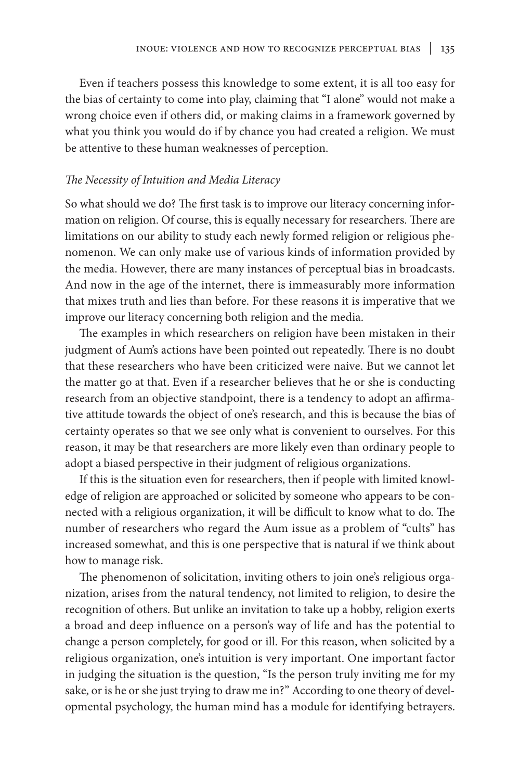Even if teachers possess this knowledge to some extent, it is all too easy for the bias of certainty to come into play, claiming that "I alone" would not make a wrong choice even if others did, or making claims in a framework governed by what you think you would do if by chance you had created a religion. We must be attentive to these human weaknesses of perception.

## *The Necessity of Intuition and Media Literacy*

So what should we do? The first task is to improve our literacy concerning information on religion. Of course, this is equally necessary for researchers. There are limitations on our ability to study each newly formed religion or religious phenomenon. We can only make use of various kinds of information provided by the media. However, there are many instances of perceptual bias in broadcasts. And now in the age of the internet, there is immeasurably more information that mixes truth and lies than before. For these reasons it is imperative that we improve our literacy concerning both religion and the media.

The examples in which researchers on religion have been mistaken in their judgment of Aum's actions have been pointed out repeatedly. There is no doubt that these researchers who have been criticized were naive. But we cannot let the matter go at that. Even if a researcher believes that he or she is conducting research from an objective standpoint, there is a tendency to adopt an affirmative attitude towards the object of one's research, and this is because the bias of certainty operates so that we see only what is convenient to ourselves. For this reason, it may be that researchers are more likely even than ordinary people to adopt a biased perspective in their judgment of religious organizations.

If this is the situation even for researchers, then if people with limited knowledge of religion are approached or solicited by someone who appears to be connected with a religious organization, it will be difficult to know what to do. The number of researchers who regard the Aum issue as a problem of "cults" has increased somewhat, and this is one perspective that is natural if we think about how to manage risk.

The phenomenon of solicitation, inviting others to join one's religious organization, arises from the natural tendency, not limited to religion, to desire the recognition of others. But unlike an invitation to take up a hobby, religion exerts a broad and deep influence on a person's way of life and has the potential to change a person completely, for good or ill. For this reason, when solicited by a religious organization, one's intuition is very important. One important factor in judging the situation is the question, "Is the person truly inviting me for my sake, or is he or she just trying to draw me in?" According to one theory of developmental psychology, the human mind has a module for identifying betrayers.